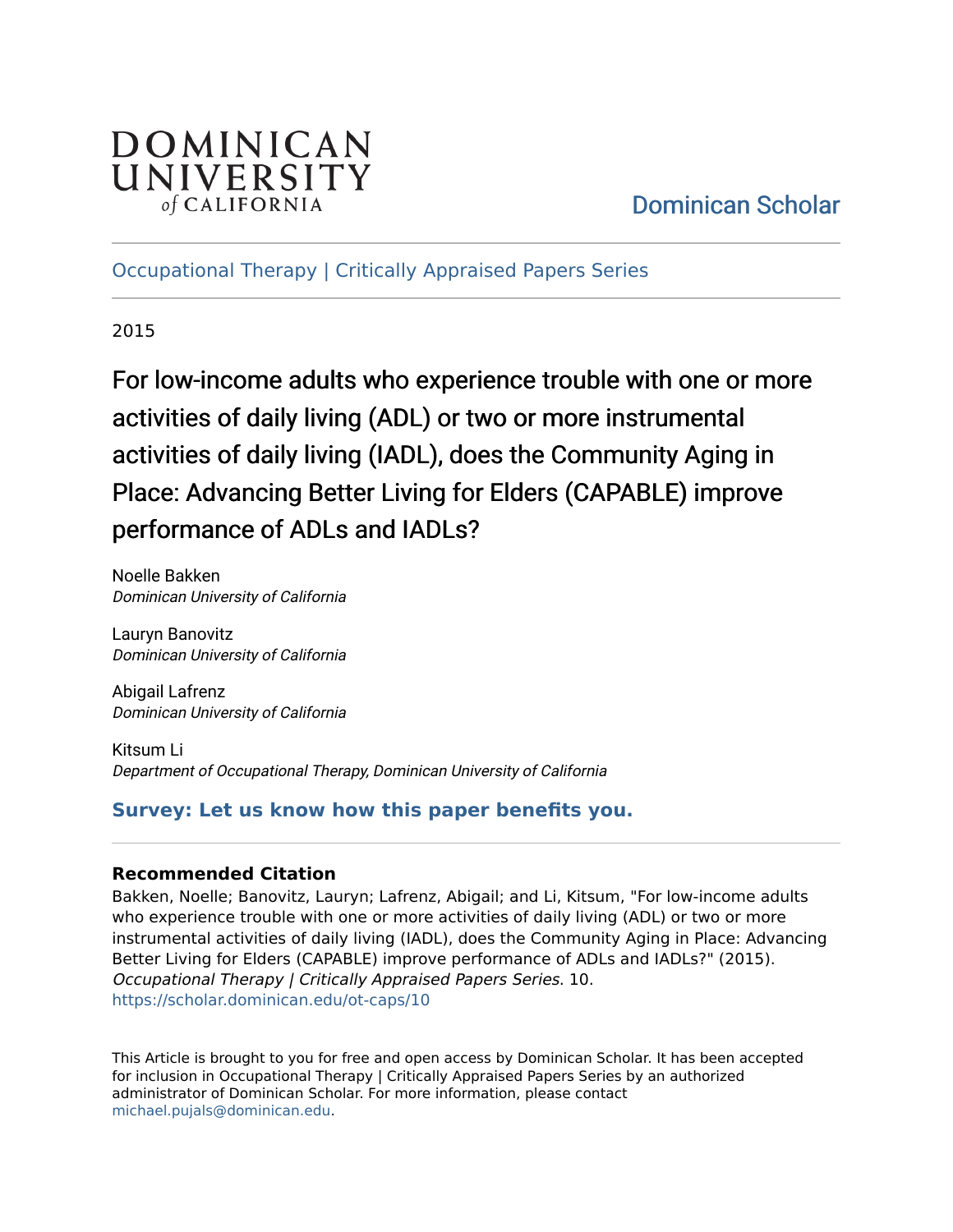# DOMINICAN UNIVERSITY of CALIFORNIA

# [Dominican Scholar](https://scholar.dominican.edu/)

[Occupational Therapy | Critically Appraised Papers Series](https://scholar.dominican.edu/ot-caps) 

2015

For low-income adults who experience trouble with one or more activities of daily living (ADL) or two or more instrumental activities of daily living (IADL), does the Community Aging in Place: Advancing Better Living for Elders (CAPABLE) improve performance of ADLs and IADLs?

Noelle Bakken Dominican University of California

Lauryn Banovitz Dominican University of California

Abigail Lafrenz Dominican University of California

Kitsum Li Department of Occupational Therapy, Dominican University of California

## **[Survey: Let us know how this paper benefits you.](https://dominican.libwizard.com/dominican-scholar-feedback)**

#### **Recommended Citation**

Bakken, Noelle; Banovitz, Lauryn; Lafrenz, Abigail; and Li, Kitsum, "For low-income adults who experience trouble with one or more activities of daily living (ADL) or two or more instrumental activities of daily living (IADL), does the Community Aging in Place: Advancing Better Living for Elders (CAPABLE) improve performance of ADLs and IADLs?" (2015). Occupational Therapy | Critically Appraised Papers Series. 10. [https://scholar.dominican.edu/ot-caps/10](https://scholar.dominican.edu/ot-caps/10?utm_source=scholar.dominican.edu%2Fot-caps%2F10&utm_medium=PDF&utm_campaign=PDFCoverPages) 

This Article is brought to you for free and open access by Dominican Scholar. It has been accepted for inclusion in Occupational Therapy | Critically Appraised Papers Series by an authorized administrator of Dominican Scholar. For more information, please contact [michael.pujals@dominican.edu.](mailto:michael.pujals@dominican.edu)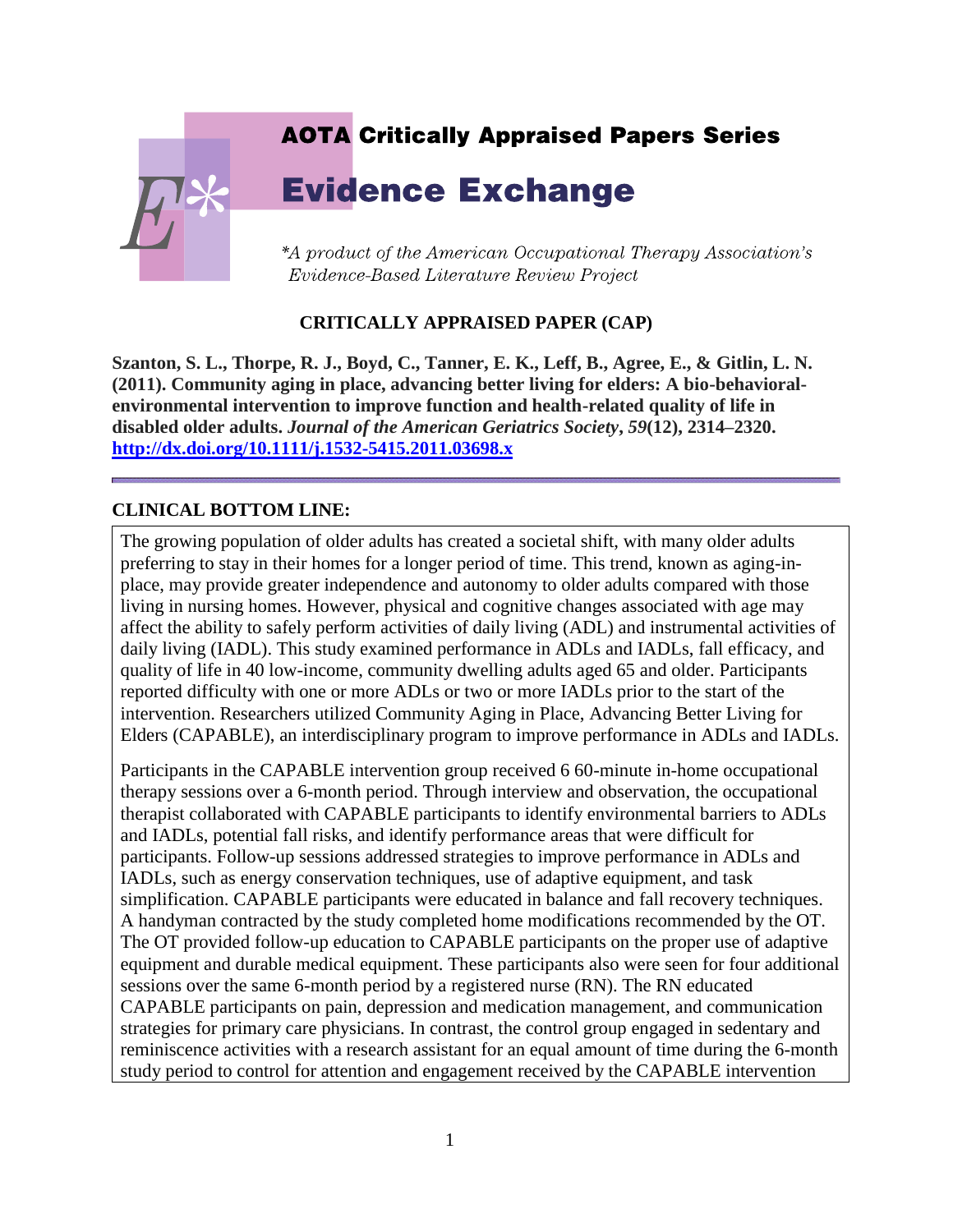# **AOTA Critically Appraised Papers Series Evidence Exchange** \*A product of the American Occupational Therapy Association's Evidence-Based Literature Review Project

#### **CRITICALLY APPRAISED PAPER (CAP)**

**Szanton, S. L., Thorpe, R. J., Boyd, C., Tanner, E. K., Leff, B., Agree, E., & Gitlin, L. N. (2011). Community aging in place, advancing better living for elders: A bio-behavioralenvironmental intervention to improve function and health-related quality of life in disabled older adults.** *Journal of the American Geriatrics Society***,** *59***(12), 2314–2320. <http://dx.doi.org/10.1111/j.1532-5415.2011.03698.x>**

#### **CLINICAL BOTTOM LINE:**

The growing population of older adults has created a societal shift, with many older adults preferring to stay in their homes for a longer period of time. This trend, known as aging-inplace, may provide greater independence and autonomy to older adults compared with those living in nursing homes. However, physical and cognitive changes associated with age may affect the ability to safely perform activities of daily living (ADL) and instrumental activities of daily living (IADL). This study examined performance in ADLs and IADLs, fall efficacy, and quality of life in 40 low-income, community dwelling adults aged 65 and older. Participants reported difficulty with one or more ADLs or two or more IADLs prior to the start of the intervention. Researchers utilized Community Aging in Place, Advancing Better Living for Elders (CAPABLE), an interdisciplinary program to improve performance in ADLs and IADLs.

Participants in the CAPABLE intervention group received 6 60-minute in-home occupational therapy sessions over a 6-month period. Through interview and observation, the occupational therapist collaborated with CAPABLE participants to identify environmental barriers to ADLs and IADLs, potential fall risks, and identify performance areas that were difficult for participants. Follow-up sessions addressed strategies to improve performance in ADLs and IADLs, such as energy conservation techniques, use of adaptive equipment, and task simplification. CAPABLE participants were educated in balance and fall recovery techniques. A handyman contracted by the study completed home modifications recommended by the OT. The OT provided follow-up education to CAPABLE participants on the proper use of adaptive equipment and durable medical equipment. These participants also were seen for four additional sessions over the same 6-month period by a registered nurse (RN). The RN educated CAPABLE participants on pain, depression and medication management, and communication strategies for primary care physicians. In contrast, the control group engaged in sedentary and reminiscence activities with a research assistant for an equal amount of time during the 6-month study period to control for attention and engagement received by the CAPABLE intervention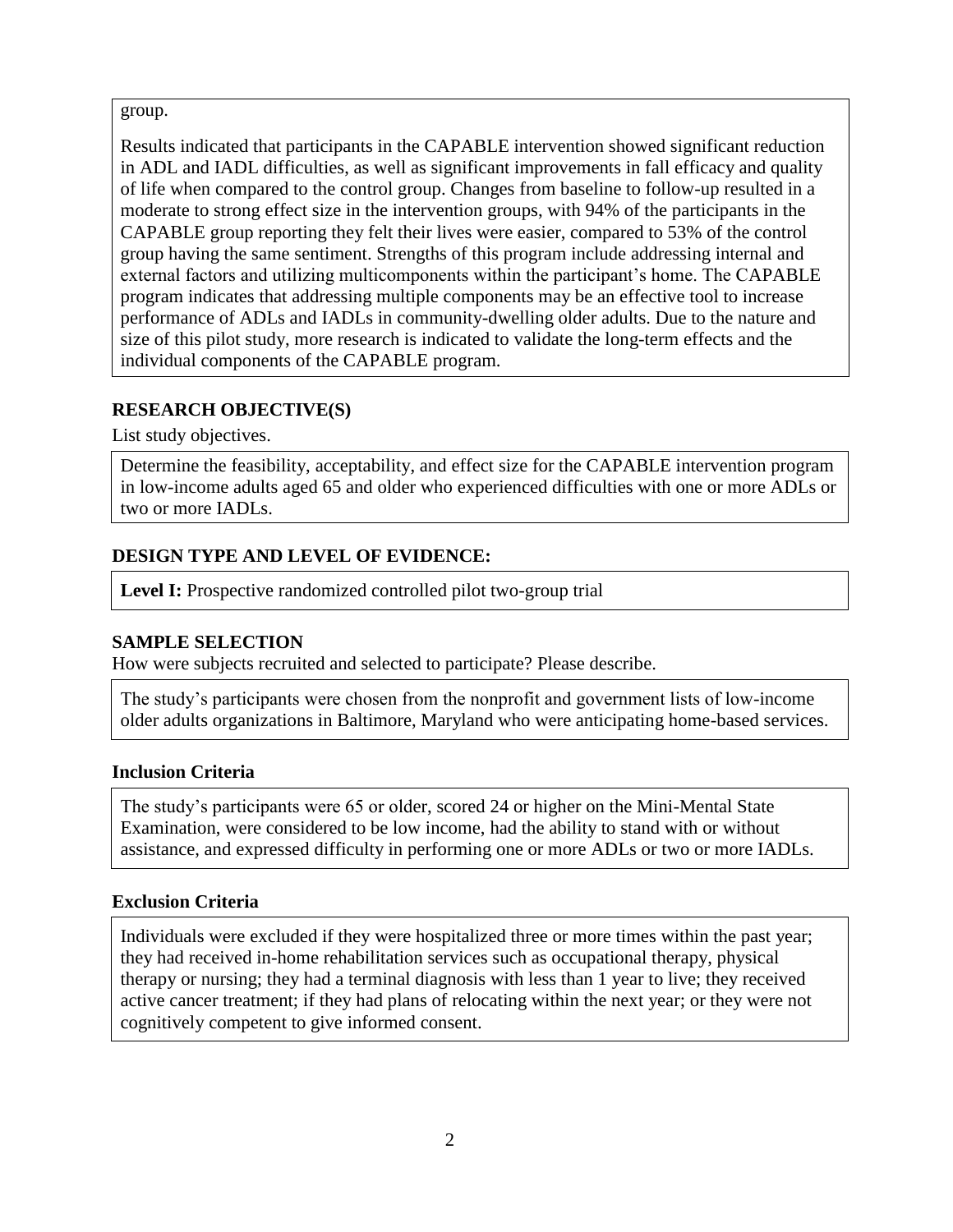#### group.

Results indicated that participants in the CAPABLE intervention showed significant reduction in ADL and IADL difficulties, as well as significant improvements in fall efficacy and quality of life when compared to the control group. Changes from baseline to follow-up resulted in a moderate to strong effect size in the intervention groups, with 94% of the participants in the CAPABLE group reporting they felt their lives were easier, compared to 53% of the control group having the same sentiment. Strengths of this program include addressing internal and external factors and utilizing multicomponents within the participant's home. The CAPABLE program indicates that addressing multiple components may be an effective tool to increase performance of ADLs and IADLs in community-dwelling older adults. Due to the nature and size of this pilot study, more research is indicated to validate the long-term effects and the individual components of the CAPABLE program.

#### **RESEARCH OBJECTIVE(S)**

List study objectives.

Determine the feasibility, acceptability, and effect size for the CAPABLE intervention program in low-income adults aged 65 and older who experienced difficulties with one or more ADLs or two or more IADLs.

## **DESIGN TYPE AND LEVEL OF EVIDENCE:**

Level I: Prospective randomized controlled pilot two-group trial

#### **SAMPLE SELECTION**

How were subjects recruited and selected to participate? Please describe.

The study's participants were chosen from the nonprofit and government lists of low-income older adults organizations in Baltimore, Maryland who were anticipating home-based services.

#### **Inclusion Criteria**

The study's participants were 65 or older, scored 24 or higher on the Mini-Mental State Examination, were considered to be low income, had the ability to stand with or without assistance, and expressed difficulty in performing one or more ADLs or two or more IADLs.

#### **Exclusion Criteria**

Individuals were excluded if they were hospitalized three or more times within the past year; they had received in-home rehabilitation services such as occupational therapy, physical therapy or nursing; they had a terminal diagnosis with less than 1 year to live; they received active cancer treatment; if they had plans of relocating within the next year; or they were not cognitively competent to give informed consent.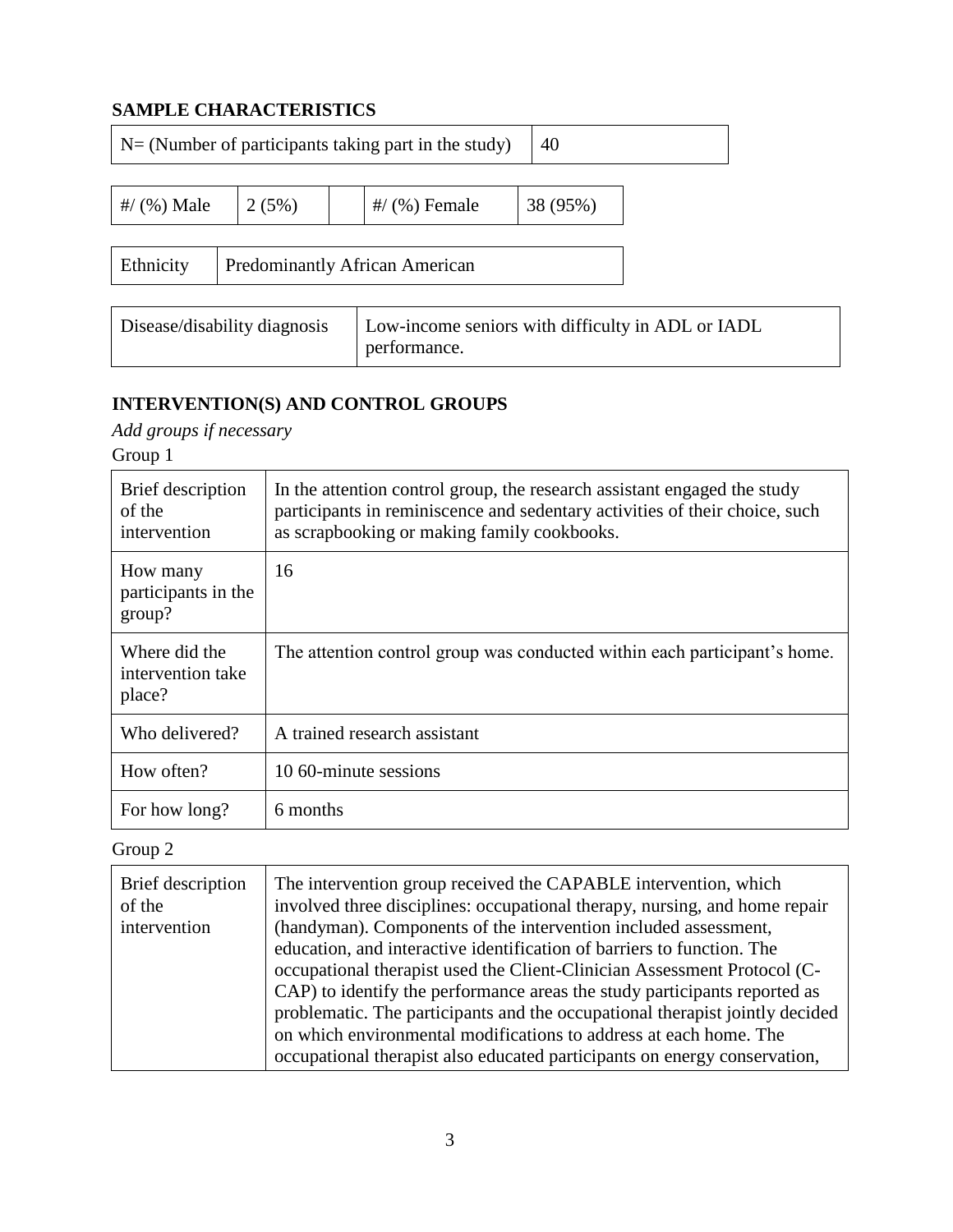## **SAMPLE CHARACTERISTICS**

| $N = (Number of participants taking part in the study)$<br>40                                     |       |  |                 |          |  |
|---------------------------------------------------------------------------------------------------|-------|--|-----------------|----------|--|
| #/ $(%$ ) Male                                                                                    | 2(5%) |  | $\#$ (%) Female | 38 (95%) |  |
| Ethnicity<br><b>Predominantly African American</b>                                                |       |  |                 |          |  |
| Low-income seniors with difficulty in ADL or IADL<br>Disease/disability diagnosis<br>performance. |       |  |                 |          |  |

# **INTERVENTION(S) AND CONTROL GROUPS**

*Add groups if necessary* Group 1

| Brief description<br>of the<br>intervention  | In the attention control group, the research assistant engaged the study<br>participants in reminiscence and sedentary activities of their choice, such<br>as scrapbooking or making family cookbooks. |
|----------------------------------------------|--------------------------------------------------------------------------------------------------------------------------------------------------------------------------------------------------------|
| How many<br>participants in the<br>group?    | 16                                                                                                                                                                                                     |
| Where did the<br>intervention take<br>place? | The attention control group was conducted within each participant's home.                                                                                                                              |
| Who delivered?                               | A trained research assistant                                                                                                                                                                           |
| How often?                                   | 10.60-minute sessions                                                                                                                                                                                  |
| For how long?                                | 6 months                                                                                                                                                                                               |

Group 2

| Brief description<br>of the<br>intervention | The intervention group received the CAPABLE intervention, which<br>involved three disciplines: occupational therapy, nursing, and home repair<br>(handyman). Components of the intervention included assessment,<br>education, and interactive identification of barriers to function. The<br>occupational therapist used the Client-Clinician Assessment Protocol (C- |
|---------------------------------------------|------------------------------------------------------------------------------------------------------------------------------------------------------------------------------------------------------------------------------------------------------------------------------------------------------------------------------------------------------------------------|
|                                             | CAP) to identify the performance areas the study participants reported as                                                                                                                                                                                                                                                                                              |
|                                             | problematic. The participants and the occupational therapist jointly decided<br>on which environmental modifications to address at each home. The                                                                                                                                                                                                                      |
|                                             | occupational therapist also educated participants on energy conservation,                                                                                                                                                                                                                                                                                              |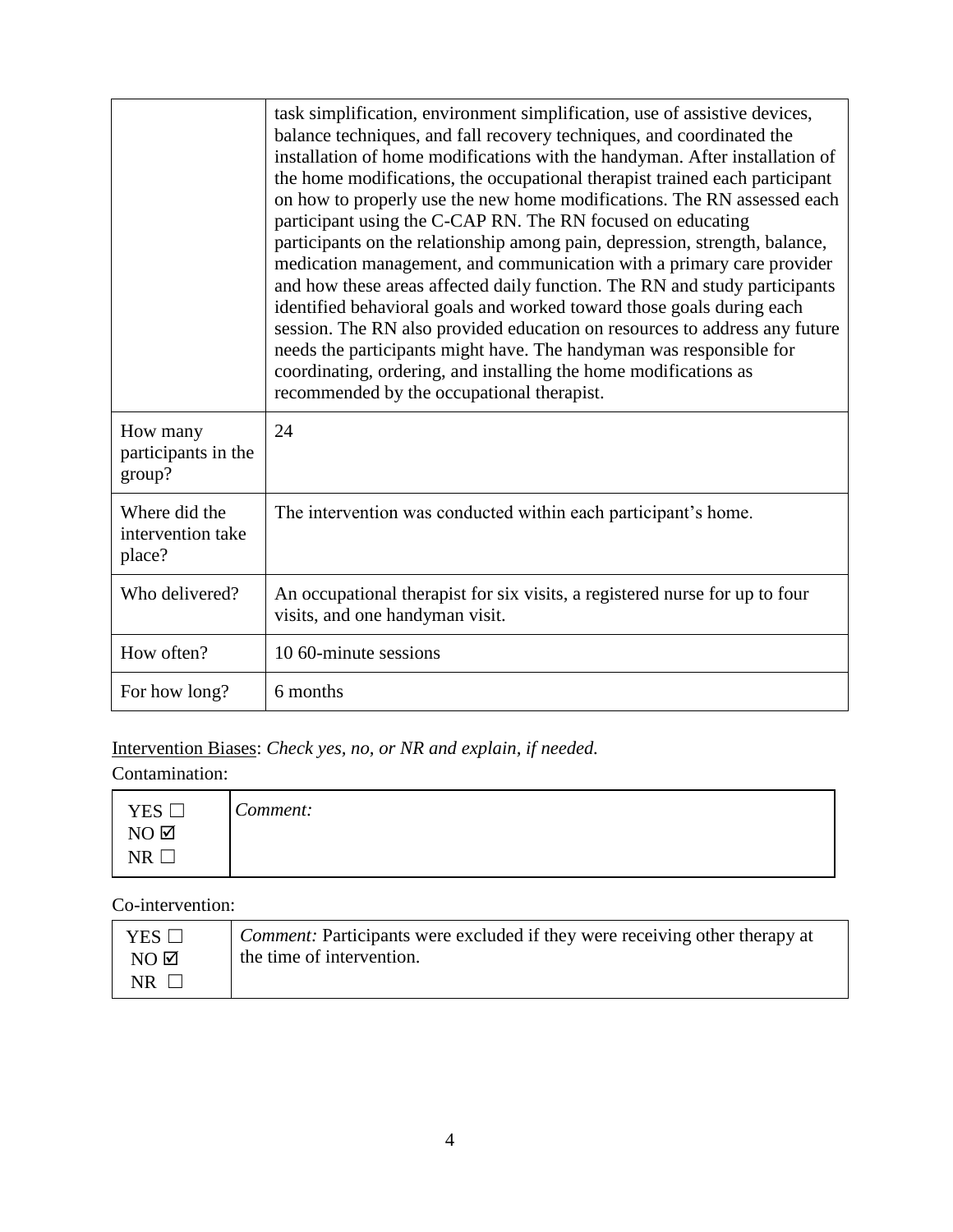|                                              | task simplification, environment simplification, use of assistive devices,<br>balance techniques, and fall recovery techniques, and coordinated the<br>installation of home modifications with the handyman. After installation of<br>the home modifications, the occupational therapist trained each participant<br>on how to properly use the new home modifications. The RN assessed each<br>participant using the C-CAP RN. The RN focused on educating<br>participants on the relationship among pain, depression, strength, balance,<br>medication management, and communication with a primary care provider<br>and how these areas affected daily function. The RN and study participants<br>identified behavioral goals and worked toward those goals during each<br>session. The RN also provided education on resources to address any future<br>needs the participants might have. The handyman was responsible for<br>coordinating, ordering, and installing the home modifications as<br>recommended by the occupational therapist. |
|----------------------------------------------|---------------------------------------------------------------------------------------------------------------------------------------------------------------------------------------------------------------------------------------------------------------------------------------------------------------------------------------------------------------------------------------------------------------------------------------------------------------------------------------------------------------------------------------------------------------------------------------------------------------------------------------------------------------------------------------------------------------------------------------------------------------------------------------------------------------------------------------------------------------------------------------------------------------------------------------------------------------------------------------------------------------------------------------------------|
| How many<br>participants in the<br>group?    | 24                                                                                                                                                                                                                                                                                                                                                                                                                                                                                                                                                                                                                                                                                                                                                                                                                                                                                                                                                                                                                                                |
| Where did the<br>intervention take<br>place? | The intervention was conducted within each participant's home.                                                                                                                                                                                                                                                                                                                                                                                                                                                                                                                                                                                                                                                                                                                                                                                                                                                                                                                                                                                    |
| Who delivered?                               | An occupational therapist for six visits, a registered nurse for up to four<br>visits, and one handyman visit.                                                                                                                                                                                                                                                                                                                                                                                                                                                                                                                                                                                                                                                                                                                                                                                                                                                                                                                                    |
| How often?                                   | 10.60-minute sessions                                                                                                                                                                                                                                                                                                                                                                                                                                                                                                                                                                                                                                                                                                                                                                                                                                                                                                                                                                                                                             |
| For how long?                                | 6 months                                                                                                                                                                                                                                                                                                                                                                                                                                                                                                                                                                                                                                                                                                                                                                                                                                                                                                                                                                                                                                          |

Intervention Biases: *Check yes, no, or NR and explain, if needed.*

Contamination:

| YES              | $\sqrt{}$<br>Comment: |
|------------------|-----------------------|
| $NO$ $\boxtimes$ |                       |
| TR.<br>$\cdots$  |                       |

Co-intervention:

| YES $\Box$          | <i>Comment:</i> Participants were excluded if they were receiving other therapy at |
|---------------------|------------------------------------------------------------------------------------|
| $NO$ $\overline{Q}$ | the time of intervention.                                                          |
| $NR$                |                                                                                    |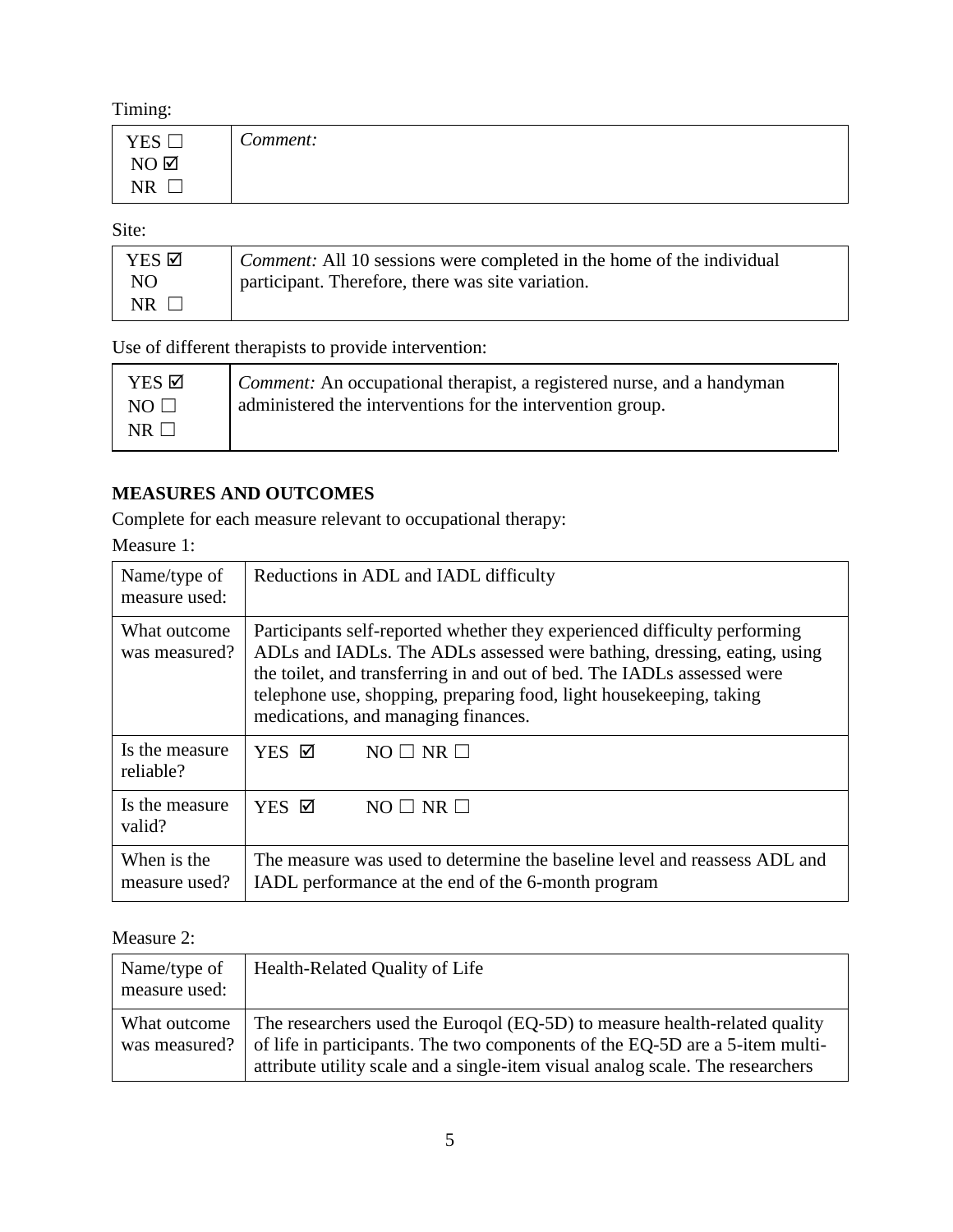Timing:

| <b>YES</b>          | ⌒<br>Comment: |
|---------------------|---------------|
| $NO$ $\overline{Q}$ |               |
| <b>NR</b>           |               |

Site:

| YES ☑ | <i>Comment:</i> All 10 sessions were completed in the home of the individual |
|-------|------------------------------------------------------------------------------|
| NO.   | participant. Therefore, there was site variation.                            |
| NR.   |                                                                              |

Use of different therapists to provide intervention:

| YES ☑     | <i>Comment:</i> An occupational therapist, a registered nurse, and a handyman |
|-----------|-------------------------------------------------------------------------------|
| $NO \Box$ | administered the interventions for the intervention group.                    |
| $NR \Box$ |                                                                               |

## **MEASURES AND OUTCOMES**

Complete for each measure relevant to occupational therapy:

Measure 1:

| Name/type of<br>measure used: | Reductions in ADL and IADL difficulty                                                                                                                                                                                                                                                                                                         |  |
|-------------------------------|-----------------------------------------------------------------------------------------------------------------------------------------------------------------------------------------------------------------------------------------------------------------------------------------------------------------------------------------------|--|
| What outcome<br>was measured? | Participants self-reported whether they experienced difficulty performing<br>ADLs and IADLs. The ADLs assessed were bathing, dressing, eating, using<br>the toilet, and transferring in and out of bed. The IADLs assessed were<br>telephone use, shopping, preparing food, light housekeeping, taking<br>medications, and managing finances. |  |
| Is the measure                | $NO \Box NR \Box$                                                                                                                                                                                                                                                                                                                             |  |
| reliable?                     | YES ☑                                                                                                                                                                                                                                                                                                                                         |  |
| Is the measure                | YES ☑                                                                                                                                                                                                                                                                                                                                         |  |
| valid?                        | $NO \Box NR \Box$                                                                                                                                                                                                                                                                                                                             |  |
| When is the                   | The measure was used to determine the baseline level and reassess ADL and                                                                                                                                                                                                                                                                     |  |
| measure used?                 | IADL performance at the end of the 6-month program                                                                                                                                                                                                                                                                                            |  |

#### Measure 2:

| Name/type of<br>measure used: | Health-Related Quality of Life                                                                                                                                                                                                               |
|-------------------------------|----------------------------------------------------------------------------------------------------------------------------------------------------------------------------------------------------------------------------------------------|
| What outcome<br>was measured? | The researchers used the Euroqol (EQ-5D) to measure health-related quality<br>of life in participants. The two components of the EQ-5D are a 5-item multi-<br>attribute utility scale and a single-item visual analog scale. The researchers |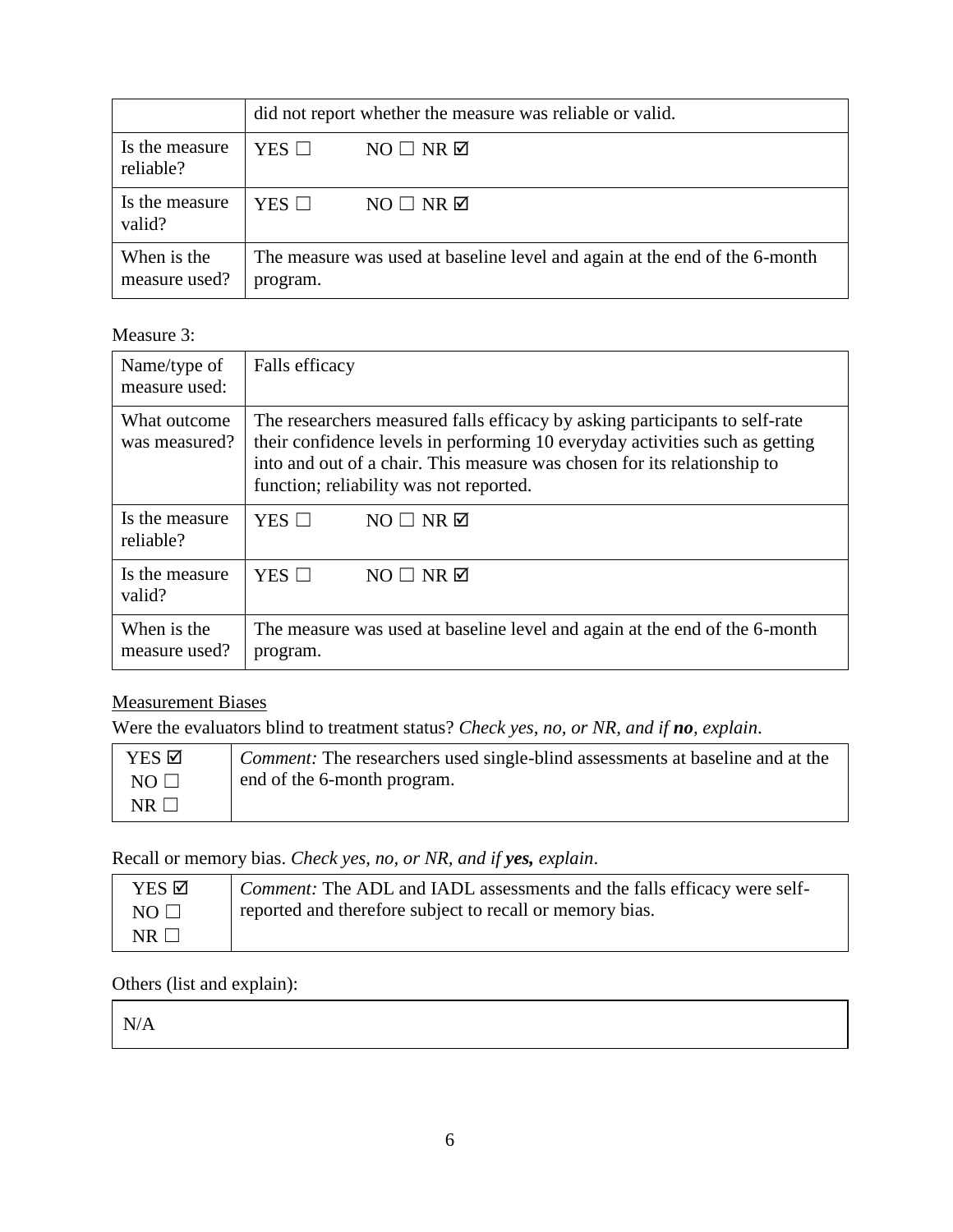|                              | did not report whether the measure was reliable or valid.                              |                        |
|------------------------------|----------------------------------------------------------------------------------------|------------------------|
| Is the measure<br>reliable?  | $YES$ $\square$                                                                        | $NO \Box NR \boxtimes$ |
| Is the measure<br>valid?     | $YES$ $\Box$                                                                           | $NO \Box NR \boxtimes$ |
| When is the<br>measure used? | The measure was used at baseline level and again at the end of the 6-month<br>program. |                        |

#### Measure 3:

| Name/type of<br>measure used: | Falls efficacy                                                                                                                                                                                                                                                                     |  |
|-------------------------------|------------------------------------------------------------------------------------------------------------------------------------------------------------------------------------------------------------------------------------------------------------------------------------|--|
| What outcome<br>was measured? | The researchers measured falls efficacy by asking participants to self-rate<br>their confidence levels in performing 10 everyday activities such as getting<br>into and out of a chair. This measure was chosen for its relationship to<br>function; reliability was not reported. |  |
| Is the measure                | $YES$ $\square$                                                                                                                                                                                                                                                                    |  |
| reliable?                     | $NO \Box NR \Box$                                                                                                                                                                                                                                                                  |  |
| Is the measure                | YES $\Box$                                                                                                                                                                                                                                                                         |  |
| valid?                        | $NO \Box NR \boxtimes$                                                                                                                                                                                                                                                             |  |
| When is the                   | The measure was used at baseline level and again at the end of the 6-month                                                                                                                                                                                                         |  |
| measure used?                 | program.                                                                                                                                                                                                                                                                           |  |

# Measurement Biases

Were the evaluators blind to treatment status? *Check yes, no, or NR, and if no, explain*.

| YES ⊠       | <i>Comment:</i> The researchers used single-blind assessments at baseline and at the |
|-------------|--------------------------------------------------------------------------------------|
| NO $\Box$   | end of the 6-month program.                                                          |
| $NR$ $\Box$ |                                                                                      |

Recall or memory bias. *Check yes, no, or NR, and if yes, explain*.

| YES Ø          | <i>Comment:</i> The ADL and IADL assessments and the falls efficacy were self- |
|----------------|--------------------------------------------------------------------------------|
| $NO \Box$      | reported and therefore subject to recall or memory bias.                       |
| $NR$ $\square$ |                                                                                |

#### Others (list and explain):

N/A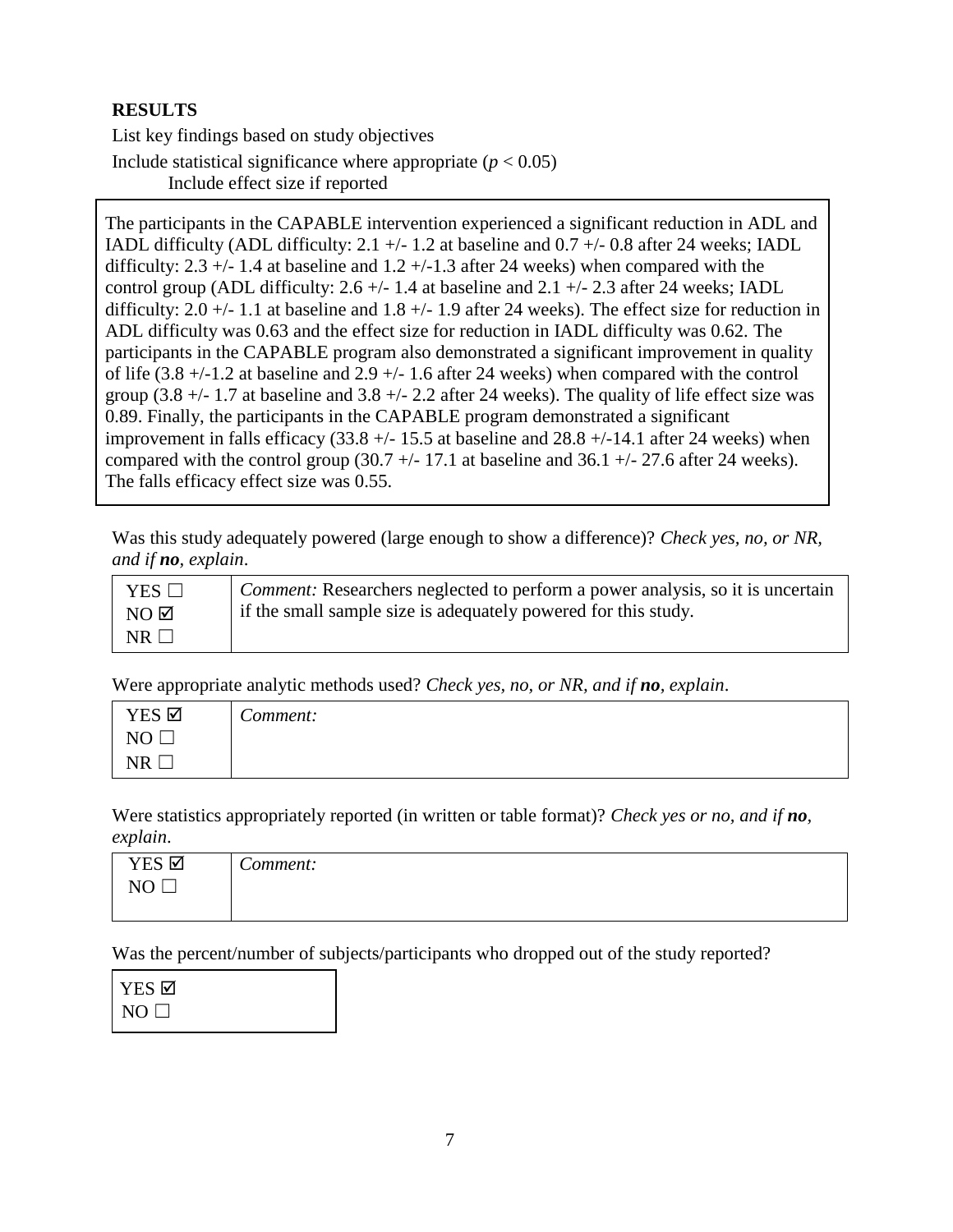#### **RESULTS**

List key findings based on study objectives Include statistical significance where appropriate  $(p < 0.05)$ Include effect size if reported

The participants in the CAPABLE intervention experienced a significant reduction in ADL and IADL difficulty (ADL difficulty: 2.1  $+/- 1.2$  at baseline and 0.7  $+/- 0.8$  after 24 weeks; IADL difficulty:  $2.3 + (-1.4)$  at baseline and  $1.2 + (-1.3)$  after 24 weeks) when compared with the control group (ADL difficulty: 2.6  $+/- 1.4$  at baseline and 2.1  $+/- 2.3$  after 24 weeks; IADL difficulty:  $2.0 + (-1.1)$  at baseline and  $1.8 + (-1.9)$  after 24 weeks). The effect size for reduction in ADL difficulty was 0.63 and the effect size for reduction in IADL difficulty was 0.62. The participants in the CAPABLE program also demonstrated a significant improvement in quality of life  $(3.8 +/1.2$  at baseline and  $2.9 +/1.6$  after 24 weeks) when compared with the control group  $(3.8 +/1.7)$  at baseline and  $3.8 +/2.2$  after 24 weeks). The quality of life effect size was 0.89. Finally, the participants in the CAPABLE program demonstrated a significant improvement in falls efficacy  $(33.8 +/15.5)$  at baseline and  $28.8 +/14.1$  after 24 weeks) when compared with the control group  $(30.7 +/- 17.1)$  at baseline and  $36.1 +/- 27.6$  after 24 weeks). The falls efficacy effect size was 0.55.

Was this study adequately powered (large enough to show a difference)? *Check yes, no, or NR, and if no, explain*.

| $YES \Box$       | <i>Comment:</i> Researchers neglected to perform a power analysis, so it is uncertain |
|------------------|---------------------------------------------------------------------------------------|
| $NO$ $\boxtimes$ | if the small sample size is adequately powered for this study.                        |
| NR               |                                                                                       |

Were appropriate analytic methods used? *Check yes, no, or NR, and if no, explain*.

| YES Ø        | $\sqrt{ }$<br>Comment: |
|--------------|------------------------|
| $\mathbf{M}$ |                        |
| NR           |                        |

Were statistics appropriately reported (in written or table format)? *Check yes or no, and if no, explain*.

| YES Ø     | $\sim$<br>Comment: |
|-----------|--------------------|
| NO<br>ىسا |                    |
|           |                    |

Was the percent/number of subjects/participants who dropped out of the study reported?

| YES ⊠     |  |
|-----------|--|
| $NO \Box$ |  |